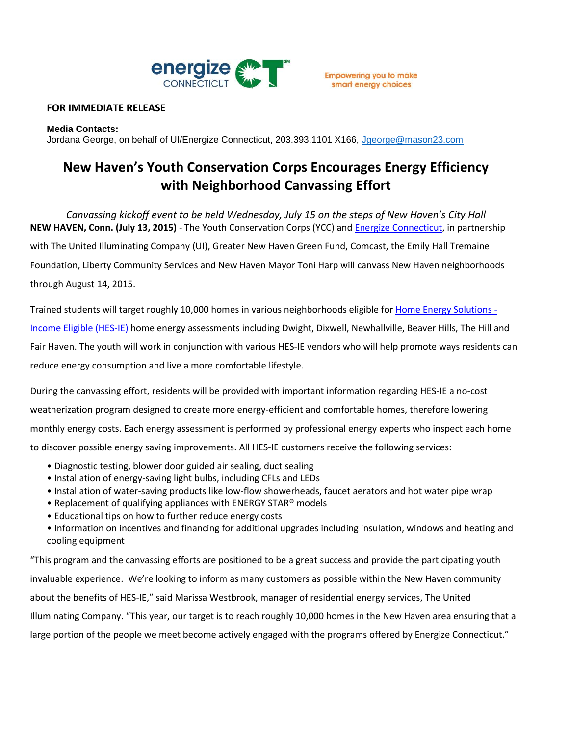

## **FOR IMMEDIATE RELEASE**

#### **Media Contacts:**

Jordana George, on behalf of UI/Energize Connecticut, 203.393.1101 X166, [Jgeorge@mason23.com](mailto:Jgeorge@mason23.com)

# **New Haven's Youth Conservation Corps Encourages Energy Efficiency with Neighborhood Canvassing Effort**

*Canvassing kickoff event to be held Wednesday, July 15 on the steps of New Haven's City Hall* **NEW HAVEN, Conn. (July 13, 2015)** - The Youth Conservation Corps (YCC) an[d Energize Connecticut,](http://www.energizect.com/) in partnership

with The United Illuminating Company (UI), Greater New Haven Green Fund, Comcast, the Emily Hall Tremaine

Foundation, Liberty Community Services and New Haven Mayor Toni Harp will canvass New Haven neighborhoods through August 14, 2015.

Trained students will target roughly 10,000 homes in various neighborhoods eligible fo[r Home Energy Solutions -](http://www.energizect.com/residents/programs/save-energy-and-money-all-year-long) Income Eligible [\(HES-IE\)](http://www.energizect.com/residents/programs/save-energy-and-money-all-year-long) home energy assessments including Dwight, Dixwell, Newhallville, Beaver Hills, The Hill and Fair Haven. The youth will work in conjunction with various HES-IE vendors who will help promote ways residents can reduce energy consumption and live a more comfortable lifestyle.

During the canvassing effort, residents will be provided with important information regarding HES-IE a no-cost weatherization program designed to create more energy-efficient and comfortable homes, therefore lowering monthly energy costs. Each energy assessment is performed by professional energy experts who inspect each home to discover possible energy saving improvements. All HES-IE customers receive the following services:

- Diagnostic testing, blower door guided air sealing, duct sealing
- Installation of energy-saving light bulbs, including CFLs and LEDs
- Installation of water-saving products like low-flow showerheads, faucet aerators and hot water pipe wrap
- Replacement of qualifying appliances with ENERGY STAR® models
- Educational tips on how to further reduce energy costs
- Information on incentives and financing for additional upgrades including insulation, windows and heating and cooling equipment

"This program and the canvassing efforts are positioned to be a great success and provide the participating youth invaluable experience. We're looking to inform as many customers as possible within the New Haven community about the benefits of HES-IE," said Marissa Westbrook, manager of residential energy services, The United Illuminating Company. "This year, our target is to reach roughly 10,000 homes in the New Haven area ensuring that a large portion of the people we meet become actively engaged with the programs offered by Energize Connecticut."